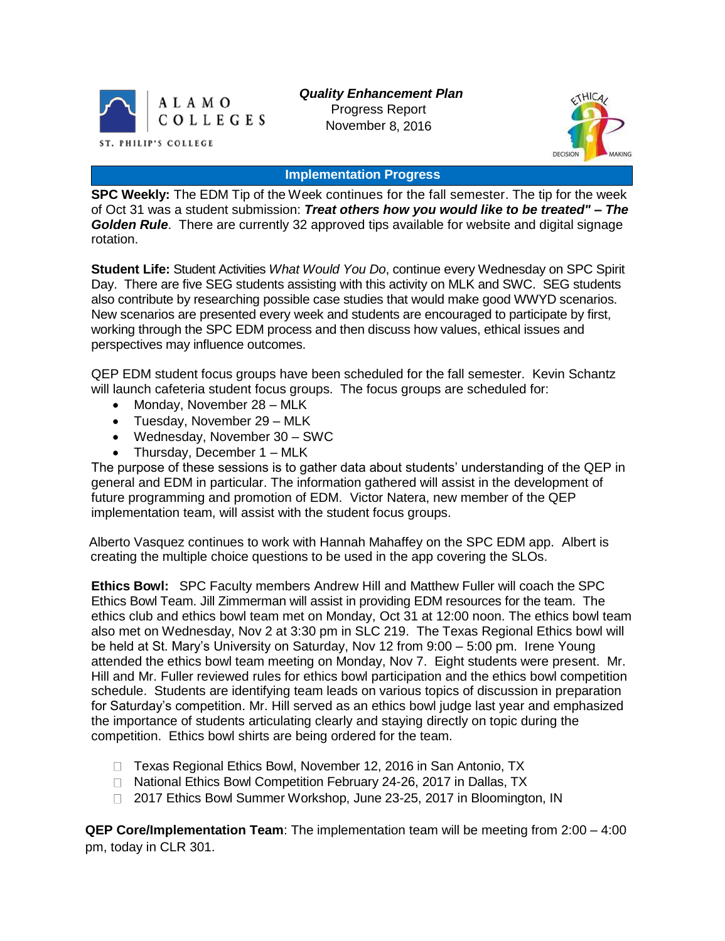

*Quality Enhancement Plan* Progress Report November 8, 2016



## **Implementation Progress**

**SPC Weekly:** The EDM Tip of the Week continues for the fall semester. The tip for the week of Oct 31 was a student submission: *Treat others how you would like to be treated" – The Golden Rule*. There are currently 32 approved tips available for website and digital signage rotation.

**Student Life:** Student Activities *What Would You Do*, continue every Wednesday on SPC Spirit Day. There are five SEG students assisting with this activity on MLK and SWC. SEG students also contribute by researching possible case studies that would make good WWYD scenarios. New scenarios are presented every week and students are encouraged to participate by first, working through the SPC EDM process and then discuss how values, ethical issues and perspectives may influence outcomes.

QEP EDM student focus groups have been scheduled for the fall semester. Kevin Schantz will launch cafeteria student focus groups. The focus groups are scheduled for:

- Monday, November 28 MLK
- Tuesday, November 29 MLK
- Wednesday, November 30 SWC
- Thursday, December  $1 \mathsf{MLK}$

The purpose of these sessions is to gather data about students' understanding of the QEP in general and EDM in particular. The information gathered will assist in the development of future programming and promotion of EDM. Victor Natera, new member of the QEP implementation team, will assist with the student focus groups.

Alberto Vasquez continues to work with Hannah Mahaffey on the SPC EDM app. Albert is creating the multiple choice questions to be used in the app covering the SLOs.

**Ethics Bowl:** SPC Faculty members Andrew Hill and Matthew Fuller will coach the SPC Ethics Bowl Team. Jill Zimmerman will assist in providing EDM resources for the team. The ethics club and ethics bowl team met on Monday, Oct 31 at 12:00 noon. The ethics bowl team also met on Wednesday, Nov 2 at 3:30 pm in SLC 219. The Texas Regional Ethics bowl will be held at St. Mary's University on Saturday, Nov 12 from 9:00 – 5:00 pm. Irene Young attended the ethics bowl team meeting on Monday, Nov 7. Eight students were present. Mr. Hill and Mr. Fuller reviewed rules for ethics bowl participation and the ethics bowl competition schedule. Students are identifying team leads on various topics of discussion in preparation for Saturday's competition. Mr. Hill served as an ethics bowl judge last year and emphasized the importance of students articulating clearly and staying directly on topic during the competition. Ethics bowl shirts are being ordered for the team.

- □ Texas Regional Ethics Bowl, November 12, 2016 in San Antonio, TX
- □ National Ethics Bowl Competition February 24-26, 2017 in Dallas, TX
- □ 2017 Ethics Bowl Summer Workshop, June 23-25, 2017 in Bloomington, IN

**QEP Core/Implementation Team**: The implementation team will be meeting from 2:00 – 4:00 pm, today in CLR 301.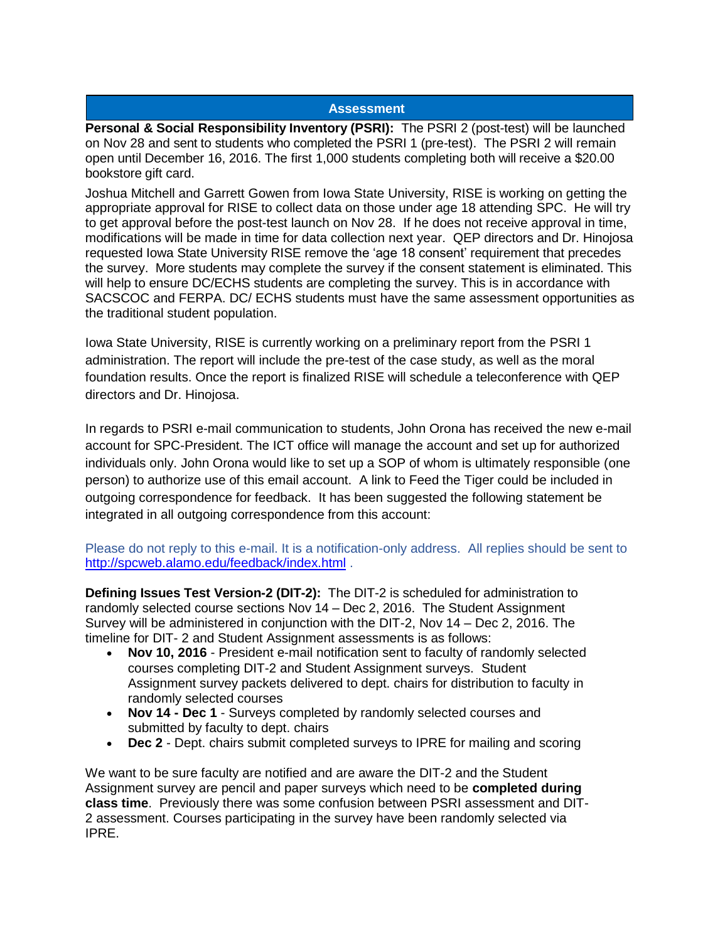## **Assessment**

**Personal & Social Responsibility Inventory (PSRI):** The PSRI 2 (post-test) will be launched on Nov 28 and sent to students who completed the PSRI 1 (pre-test). The PSRI 2 will remain open until December 16, 2016. The first 1,000 students completing both will receive a \$20.00 bookstore gift card.

Joshua Mitchell and Garrett Gowen from Iowa State University, RISE is working on getting the appropriate approval for RISE to collect data on those under age 18 attending SPC. He will try to get approval before the post-test launch on Nov 28. If he does not receive approval in time, modifications will be made in time for data collection next year. QEP directors and Dr. Hinojosa requested Iowa State University RISE remove the 'age 18 consent' requirement that precedes the survey. More students may complete the survey if the consent statement is eliminated. This will help to ensure DC/ECHS students are completing the survey. This is in accordance with SACSCOC and FERPA. DC/ ECHS students must have the same assessment opportunities as the traditional student population.

Iowa State University, RISE is currently working on a preliminary report from the PSRI 1 administration. The report will include the pre-test of the case study, as well as the moral foundation results. Once the report is finalized RISE will schedule a teleconference with QEP directors and Dr. Hinojosa.

In regards to PSRI e-mail communication to students, John Orona has received the new e-mail account for SPC-President. The ICT office will manage the account and set up for authorized individuals only. John Orona would like to set up a SOP of whom is ultimately responsible (one person) to authorize use of this email account. A link to Feed the Tiger could be included in outgoing correspondence for feedback. It has been suggested the following statement be integrated in all outgoing correspondence from this account:

Please do not reply to this e-mail. It is a notification-only address. All replies should be sent to [http://spcweb.alamo.edu/feedback/index.html](https://mail.alamo.edu/owa/redir.aspx?C=mawO8X7fmD1aNFeUldgaleTfj86GBQJz2F8Z990APU7i6ZYu1u7TCA..&URL=http%3a%2f%2fspcweb.alamo.edu%2ffeedback%2findex.html) .

**Defining Issues Test Version-2 (DIT-2):** The DIT-2 is scheduled for administration to randomly selected course sections Nov 14 – Dec 2, 2016. The Student Assignment Survey will be administered in conjunction with the DIT-2, Nov 14 – Dec 2, 2016. The timeline for DIT- 2 and Student Assignment assessments is as follows:

- **Nov 10, 2016** President e-mail notification sent to faculty of randomly selected courses completing DIT-2 and Student Assignment surveys. Student Assignment survey packets delivered to dept. chairs for distribution to faculty in randomly selected courses
- **Nov 14 - Dec 1** Surveys completed by randomly selected courses and submitted by faculty to dept. chairs
- **Dec 2** Dept. chairs submit completed surveys to IPRE for mailing and scoring

We want to be sure faculty are notified and are aware the DIT-2 and the Student Assignment survey are pencil and paper surveys which need to be **completed during class time**. Previously there was some confusion between PSRI assessment and DIT-2 assessment. Courses participating in the survey have been randomly selected via IPRE.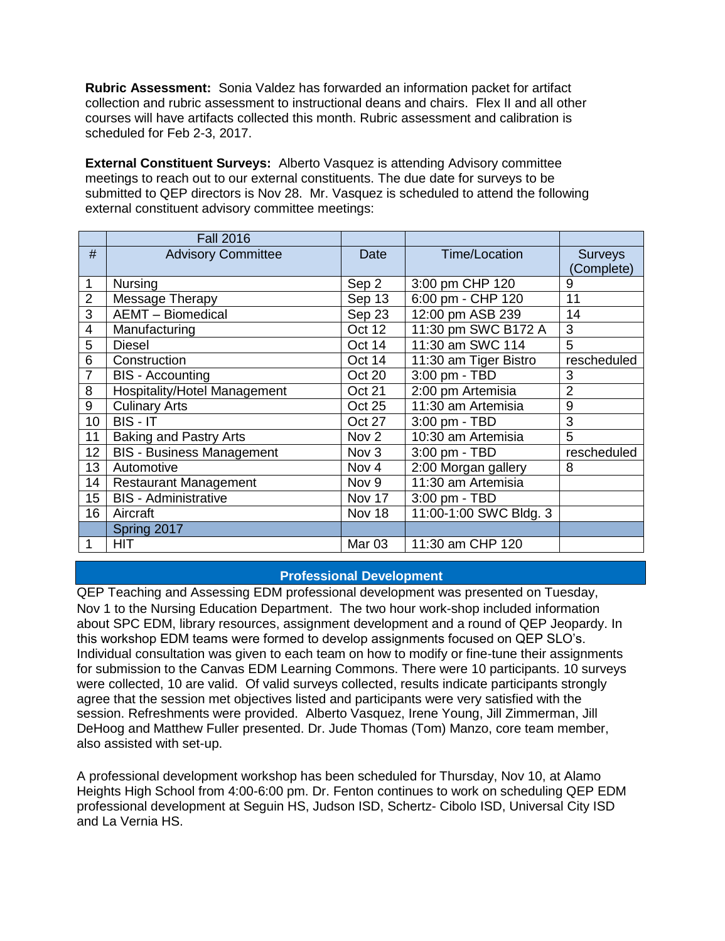**Rubric Assessment:** Sonia Valdez has forwarded an information packet for artifact collection and rubric assessment to instructional deans and chairs. Flex II and all other courses will have artifacts collected this month. Rubric assessment and calibration is scheduled for Feb 2-3, 2017.

**External Constituent Surveys:** Alberto Vasquez is attending Advisory committee meetings to reach out to our external constituents. The due date for surveys to be submitted to QEP directors is Nov 28. Mr. Vasquez is scheduled to attend the following external constituent advisory committee meetings:

|                | <b>Fall 2016</b>                    |               |                        |                |
|----------------|-------------------------------------|---------------|------------------------|----------------|
| #              | <b>Advisory Committee</b>           | <b>Date</b>   | Time/Location          | <b>Surveys</b> |
|                |                                     |               |                        | (Complete)     |
| 1              | Nursing                             | Sep 2         | 3:00 pm CHP 120        | 9              |
| $\overline{2}$ | Message Therapy                     | Sep 13        | 6:00 pm - CHP 120      | 11             |
| 3              | <b>AEMT</b> - Biomedical            | Sep 23        | 12:00 pm ASB 239       | 14             |
| $\overline{4}$ | Manufacturing                       | Oct 12        | 11:30 pm SWC B172 A    | 3              |
| 5              | <b>Diesel</b>                       | Oct 14        | 11:30 am SWC 114       | 5              |
| 6              | Construction                        | Oct 14        | 11:30 am Tiger Bistro  | rescheduled    |
| 7              | <b>BIS</b> - Accounting             | Oct 20        | $3:00$ pm - TBD        | 3              |
| 8              | <b>Hospitality/Hotel Management</b> | <b>Oct 21</b> | 2:00 pm Artemisia      | $\overline{2}$ |
| 9              | <b>Culinary Arts</b>                | Oct 25        | 11:30 am Artemisia     | 9              |
| 10             | BIS - IT                            | Oct 27        | 3:00 pm - TBD          | 3              |
| 11             | <b>Baking and Pastry Arts</b>       | Nov 2         | 10:30 am Artemisia     | 5              |
| 12             | <b>BIS - Business Management</b>    | Nov 3         | 3:00 pm - TBD          | rescheduled    |
| 13             | Automotive                          | Nov 4         | 2:00 Morgan gallery    | 8              |
| 14             | <b>Restaurant Management</b>        | Nov 9         | 11:30 am Artemisia     |                |
| 15             | <b>BIS</b> - Administrative         | Nov 17        | 3:00 pm - TBD          |                |
| 16             | Aircraft                            | Nov 18        | 11:00-1:00 SWC Bldg. 3 |                |
|                | Spring 2017                         |               |                        |                |
|                | HIT                                 | Mar 03        | 11:30 am CHP 120       |                |

## **Professional Development**

QEP Teaching and Assessing EDM professional development was presented on Tuesday, Nov 1 to the Nursing Education Department. The two hour work-shop included information about SPC EDM, library resources, assignment development and a round of QEP Jeopardy. In this workshop EDM teams were formed to develop assignments focused on QEP SLO's. Individual consultation was given to each team on how to modify or fine-tune their assignments for submission to the Canvas EDM Learning Commons. There were 10 participants. 10 surveys were collected, 10 are valid. Of valid surveys collected, results indicate participants strongly agree that the session met objectives listed and participants were very satisfied with the session. Refreshments were provided. Alberto Vasquez, Irene Young, Jill Zimmerman, Jill DeHoog and Matthew Fuller presented. Dr. Jude Thomas (Tom) Manzo, core team member, also assisted with set-up.

A professional development workshop has been scheduled for Thursday, Nov 10, at Alamo Heights High School from 4:00-6:00 pm. Dr. Fenton continues to work on scheduling QEP EDM professional development at Seguin HS, Judson ISD, Schertz- Cibolo ISD, Universal City ISD and La Vernia HS.